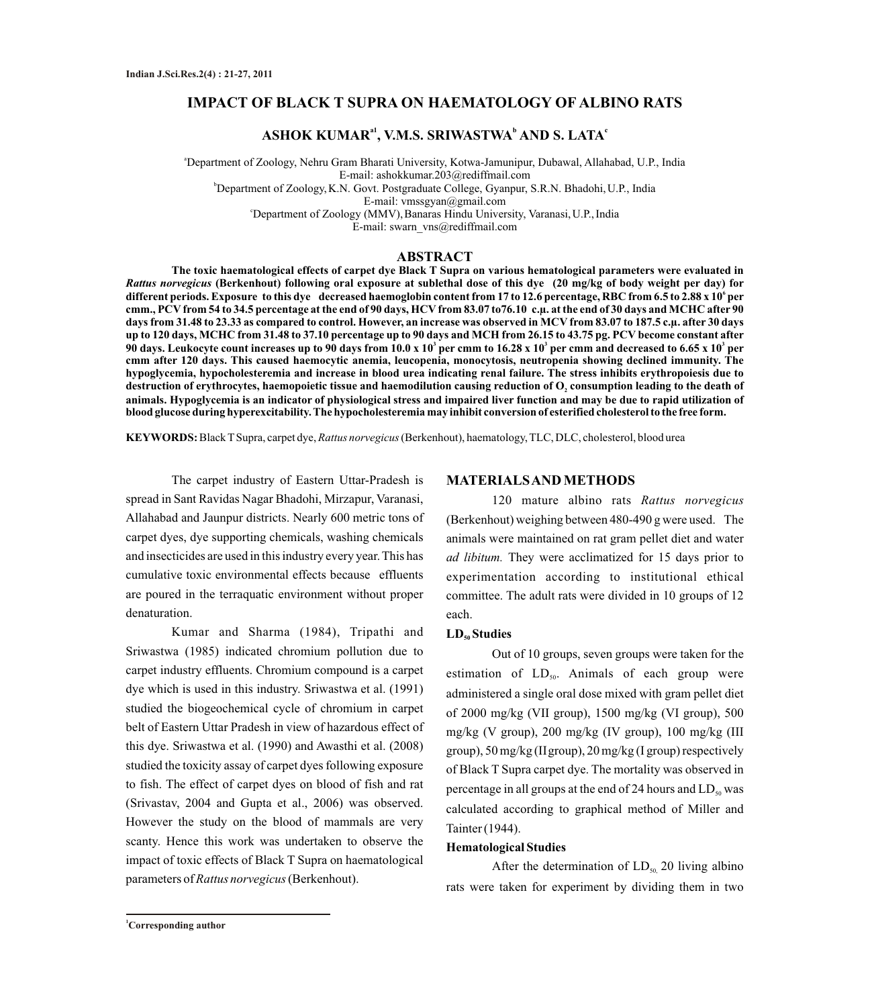## **IMPACT OF BLACK T SUPRA ON HAEMATOLOGY OF ALBINO RATS**

# **a1 <sup>b</sup> <sup>c</sup> ASHOK KUMAR , V.M.S. SRIWASTWA AND S. LATA**

<sup>a</sup>Department of Zoology, Nehru Gram Bharati University, Kotwa-Jamunipur, Dubawal, Allahabad, U.P., India E-mail: ashokkumar.203@rediffmail.com <sup>b</sup>Department of Zoology, K.N. Govt. Postgraduate College, Gyanpur, S.R.N. Bhadohi, U.P., India E-mail: vmssgyan@gmail.com <sup>c</sup>Department of Zoology (MMV), Banaras Hindu University, Varanasi, U.P., India E-mail: swarn\_vns@rediffmail.com

#### **ABSTRACT**

**The toxic haematological effects of carpet dye Black T Supra on various hematological parameters were evaluated in**  *Rattus norvegicus* **(Berkenhout) following oral exposure at sublethal dose of this dye (20 mg/kg of body weight per day) for 6 different periods. Exposure to this dye decreased haemoglobin content from 17 to 12.6 percentage, RBC from 6.5 to 2.88 x 10 per cmm., PCV from 54 to 34.5 percentage at the end of 90 days, HCV from 83.07 to76.10 c.µ. at the end of 30 days and MCHC after 90 days from 31.48 to 23.33 as compared to control. However, an increase was observed in MCV from 83.07 to 187.5 c.µ. after 30 days up to 120 days, MCHC from 31.48 to 37.10 percentage up to 90 days and MCH from 26.15 to 43.75 pg. PCV become constant after 3 3 3 90 days. Leukocyte count increases up to 90 days from 10.0 x 10 per cmm to 16.28 x 10 per cmm and decreased to 6.65 x 10 per cmm after 120 days. This caused haemocytic anemia, leucopenia, monocytosis, neutropenia showing declined immunity. The hypoglycemia, hypocholesteremia and increase in blood urea indicating renal failure. The stress inhibits erythropoiesis due to destruction of erythrocytes, haemopoietic tissue and haemodilution causing reduction of O consumption leading to the death of <sup>2</sup> animals. Hypoglycemia is an indicator of physiological stress and impaired liver function and may be due to rapid utilization of blood glucose during hyperexcitability. The hypocholesteremia may inhibit conversion of esterified cholesterol to the free form.** 

**KEYWORDS:** Black TSupra, carpet dye, *Rattus norvegicus*(Berkenhout), haematology, TLC, DLC, cholesterol, blood urea

The carpet industry of Eastern Uttar-Pradesh is spread in Sant Ravidas Nagar Bhadohi, Mirzapur, Varanasi, Allahabad and Jaunpur districts. Nearly 600 metric tons of carpet dyes, dye supporting chemicals, washing chemicals and insecticides are used in this industry every year. This has cumulative toxic environmental effects because effluents are poured in the terraquatic environment without proper denaturation.

Kumar and Sharma (1984), Tripathi and Sriwastwa (1985) indicated chromium pollution due to carpet industry effluents. Chromium compound is a carpet dye which is used in this industry. Sriwastwa et al. (1991) studied the biogeochemical cycle of chromium in carpet belt of Eastern Uttar Pradesh in view of hazardous effect of this dye. Sriwastwa et al. (1990) and Awasthi et al. (2008) studied the toxicity assay of carpet dyes following exposure to fish. The effect of carpet dyes on blood of fish and rat (Srivastav, 2004 and Gupta et al., 2006) was observed. However the study on the blood of mammals are very scanty. Hence this work was undertaken to observe the impact of toxic effects of Black T Supra on haematological parameters of *Rattus norvegicus*(Berkenhout).

#### **MATERIALS AND METHODS**

120 mature albino rats *Rattus norvegicus* (Berkenhout) weighing between 480-490 g were used. The animals were maintained on rat gram pellet diet and water *ad libitum.* They were acclimatized for 15 days prior to experimentation according to institutional ethical committee. The adult rats were divided in 10 groups of 12 each.

### LD<sub>50</sub> Studies

Out of 10 groups, seven groups were taken for the estimation of  $LD_{50}$ . Animals of each group were administered a single oral dose mixed with gram pellet diet of 2000 mg/kg (VII group), 1500 mg/kg (VI group), 500 mg/kg (V group), 200 mg/kg (IV group), 100 mg/kg (III group), 50 mg/kg (IIgroup), 20 mg/kg (I group) respectively of Black T Supra carpet dye. The mortality was observed in percentage in all groups at the end of 24 hours and  $LD_{50}$  was calculated according to graphical method of Miller and Tainter (1944).

#### **Hematological Studies**

After the determination of  $LD_{50}$  20 living albino rats were taken for experiment by dividing them in two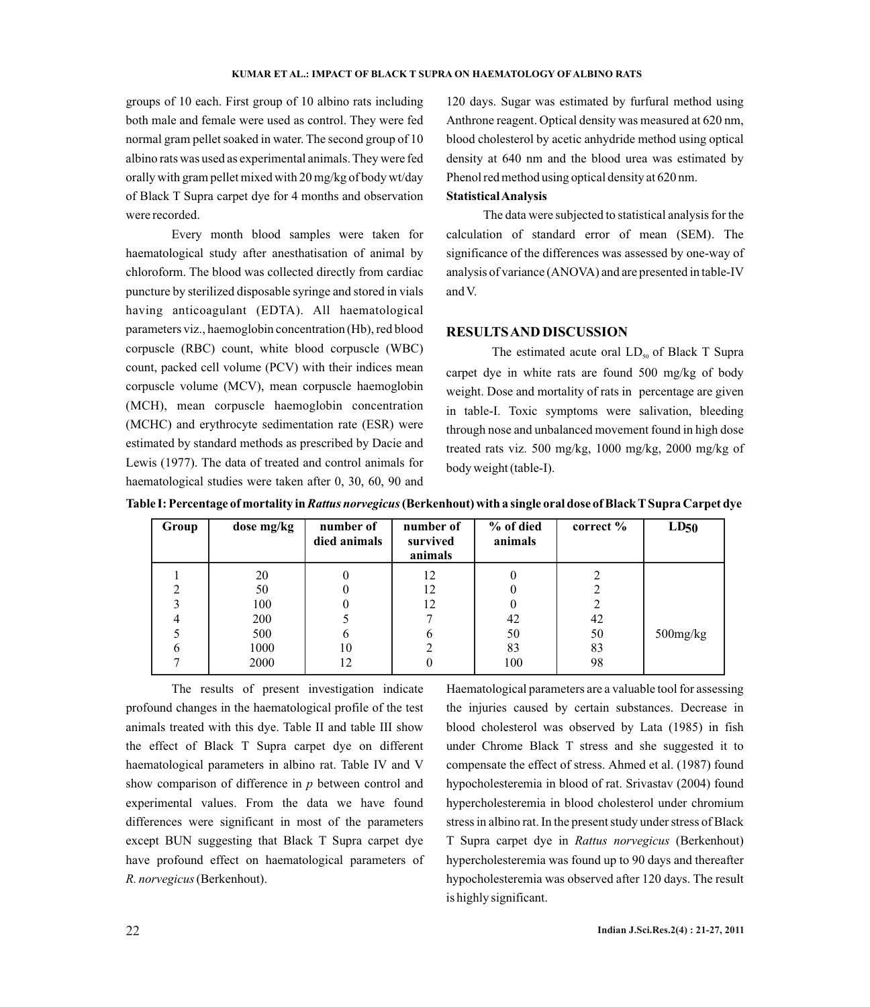groups of 10 each. First group of 10 albino rats including both male and female were used as control. They were fed normal gram pellet soaked in water. The second group of 10 albino rats was used as experimental animals. They were fed orally with gram pellet mixed with 20 mg/kg of body wt/day of Black T Supra carpet dye for 4 months and observation were recorded.

Every month blood samples were taken for haematological study after anesthatisation of animal by chloroform. The blood was collected directly from cardiac puncture by sterilized disposable syringe and stored in vials having anticoagulant (EDTA). All haematological parameters viz., haemoglobin concentration (Hb), red blood corpuscle (RBC) count, white blood corpuscle (WBC) count, packed cell volume (PCV) with their indices mean corpuscle volume (MCV), mean corpuscle haemoglobin (MCH), mean corpuscle haemoglobin concentration (MCHC) and erythrocyte sedimentation rate (ESR) were estimated by standard methods as prescribed by Dacie and Lewis (1977). The data of treated and control animals for haematological studies were taken after 0, 30, 60, 90 and

120 days. Sugar was estimated by furfural method using Anthrone reagent. Optical density was measured at 620 nm, blood cholesterol by acetic anhydride method using optical density at 640 nm and the blood urea was estimated by Phenol red method using optical density at 620 nm.

### **Statistical Analysis**

The data were subjected to statistical analysis for the calculation of standard error of mean (SEM). The significance of the differences was assessed by one-way of analysis of variance (ANOVA) and are presented in table-IV and V.

### **RESULTS AND DISCUSSION**

The estimated acute oral  $LD_{50}$  of Black T Supra carpet dye in white rats are found 500 mg/kg of body weight. Dose and mortality of rats in percentage are given in table-I. Toxic symptoms were salivation, bleeding through nose and unbalanced movement found in high dose treated rats viz. 500 mg/kg, 1000 mg/kg, 2000 mg/kg of body weight (table-I).

| Group | dose mg/kg | number of<br>died animals | number of<br>survived<br>animals | % of died<br>animals | correct $\%$ | LD50           |
|-------|------------|---------------------------|----------------------------------|----------------------|--------------|----------------|
|       | 20         |                           | 12                               |                      |              |                |
|       | 50         |                           | 12                               |                      |              |                |
|       | 100        |                           | 12                               |                      | 2            |                |
|       | 200        |                           |                                  | 42                   | 42           |                |
|       | 500        | 6                         | O                                | 50                   | 50           | $500$ mg/ $kg$ |
| O     | 1000       | 10                        |                                  | 83                   | 83           |                |
|       | 2000       | 12                        |                                  | 100                  | 98           |                |

**Table I: Percentage of mortality in** *Rattus norvegicus***(Berkenhout) with a single oral dose of Black TSupra Carpet dye**

The results of present investigation indicate profound changes in the haematological profile of the test animals treated with this dye. Table II and table III show the effect of Black T Supra carpet dye on different haematological parameters in albino rat. Table IV and V show comparison of difference in *p* between control and experimental values. From the data we have found differences were significant in most of the parameters except BUN suggesting that Black T Supra carpet dye have profound effect on haematological parameters of *R. norvegicus*(Berkenhout).

Haematological parameters are a valuable tool for assessing the injuries caused by certain substances. Decrease in blood cholesterol was observed by Lata (1985) in fish under Chrome Black T stress and she suggested it to compensate the effect of stress. Ahmed et al. (1987) found hypocholesteremia in blood of rat. Srivastav (2004) found hypercholesteremia in blood cholesterol under chromium stress in albino rat. In the present study under stress of Black T Supra carpet dye in *Rattus norvegicus* (Berkenhout) hypercholesteremia was found up to 90 days and thereafter hypocholesteremia was observed after 120 days. The result is highly significant.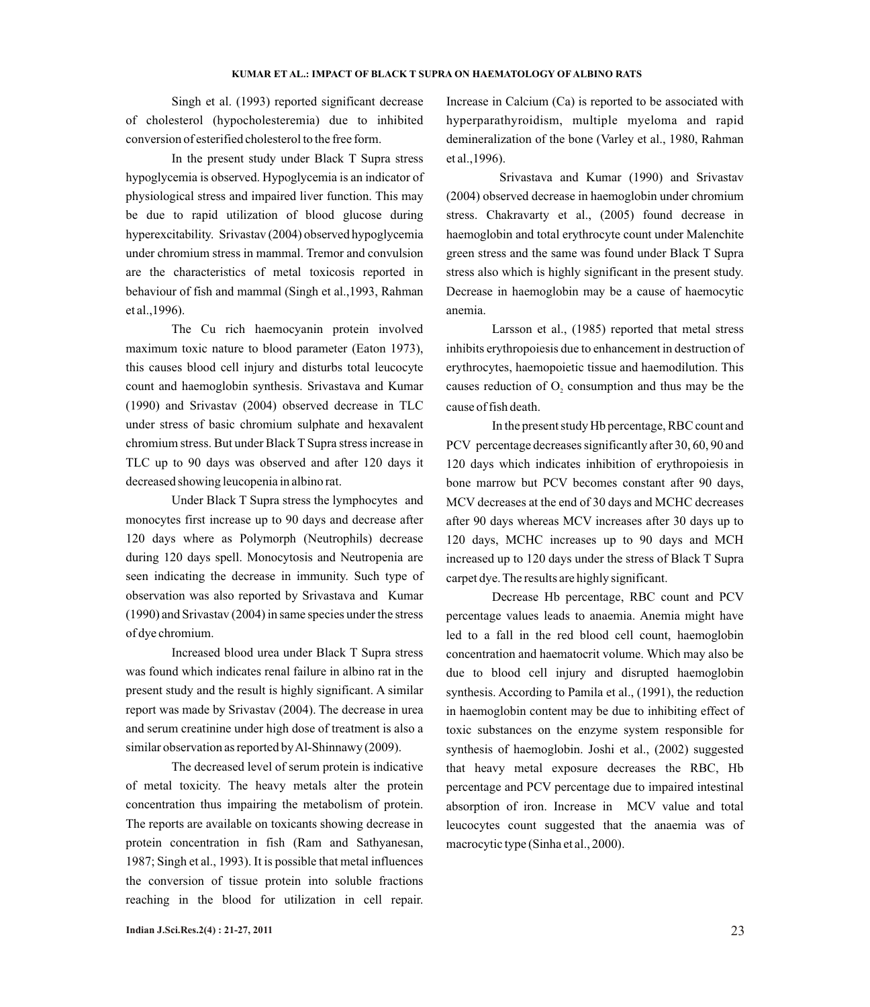Singh et al. (1993) reported significant decrease of cholesterol (hypocholesteremia) due to inhibited conversion of esterified cholesterol to the free form.

In the present study under Black T Supra stress hypoglycemia is observed. Hypoglycemia is an indicator of physiological stress and impaired liver function. This may be due to rapid utilization of blood glucose during hyperexcitability. Srivastav (2004) observed hypoglycemia under chromium stress in mammal. Tremor and convulsion are the characteristics of metal toxicosis reported in behaviour of fish and mammal (Singh et al.,1993, Rahman et al.,1996).

The Cu rich haemocyanin protein involved maximum toxic nature to blood parameter (Eaton 1973), this causes blood cell injury and disturbs total leucocyte count and haemoglobin synthesis. Srivastava and Kumar (1990) and Srivastav (2004) observed decrease in TLC under stress of basic chromium sulphate and hexavalent chromium stress. But under Black T Supra stress increase in TLC up to 90 days was observed and after 120 days it decreased showing leucopenia in albino rat.

Under Black T Supra stress the lymphocytes and monocytes first increase up to 90 days and decrease after 120 days where as Polymorph (Neutrophils) decrease during 120 days spell. Monocytosis and Neutropenia are seen indicating the decrease in immunity. Such type of observation was also reported by Srivastava and Kumar (1990) and Srivastav (2004) in same species under the stress of dye chromium.

Increased blood urea under Black T Supra stress was found which indicates renal failure in albino rat in the present study and the result is highly significant. A similar report was made by Srivastav (2004). The decrease in urea and serum creatinine under high dose of treatment is also a similar observation as reported by Al-Shinnawy (2009).

The decreased level of serum protein is indicative of metal toxicity. The heavy metals alter the protein concentration thus impairing the metabolism of protein. The reports are available on toxicants showing decrease in protein concentration in fish (Ram and Sathyanesan, 1987; Singh et al., 1993). It is possible that metal influences the conversion of tissue protein into soluble fractions reaching in the blood for utilization in cell repair.

Increase in Calcium (Ca) is reported to be associated with hyperparathyroidism, multiple myeloma and rapid demineralization of the bone (Varley et al., 1980, Rahman et al.,1996).

Srivastava and Kumar (1990) and Srivastav (2004) observed decrease in haemoglobin under chromium stress. Chakravarty et al., (2005) found decrease in haemoglobin and total erythrocyte count under Malenchite green stress and the same was found under Black T Supra stress also which is highly significant in the present study. Decrease in haemoglobin may be a cause of haemocytic anemia.

Larsson et al., (1985) reported that metal stress inhibits erythropoiesis due to enhancement in destruction of erythrocytes, haemopoietic tissue and haemodilution. This causes reduction of  $O$ , consumption and thus may be the cause of fish death.

In the present study Hb percentage, RBC count and PCV percentage decreases significantly after 30, 60, 90 and 120 days which indicates inhibition of erythropoiesis in bone marrow but PCV becomes constant after 90 days, MCV decreases at the end of 30 days and MCHC decreases after 90 days whereas MCV increases after 30 days up to 120 days, MCHC increases up to 90 days and MCH increased up to 120 days under the stress of Black T Supra carpet dye. The results are highly significant.

Decrease Hb percentage, RBC count and PCV percentage values leads to anaemia. Anemia might have led to a fall in the red blood cell count, haemoglobin concentration and haematocrit volume. Which may also be due to blood cell injury and disrupted haemoglobin synthesis. According to Pamila et al., (1991), the reduction in haemoglobin content may be due to inhibiting effect of toxic substances on the enzyme system responsible for synthesis of haemoglobin. Joshi et al., (2002) suggested that heavy metal exposure decreases the RBC, Hb percentage and PCV percentage due to impaired intestinal absorption of iron. Increase in MCV value and total leucocytes count suggested that the anaemia was of macrocytic type (Sinha et al., 2000).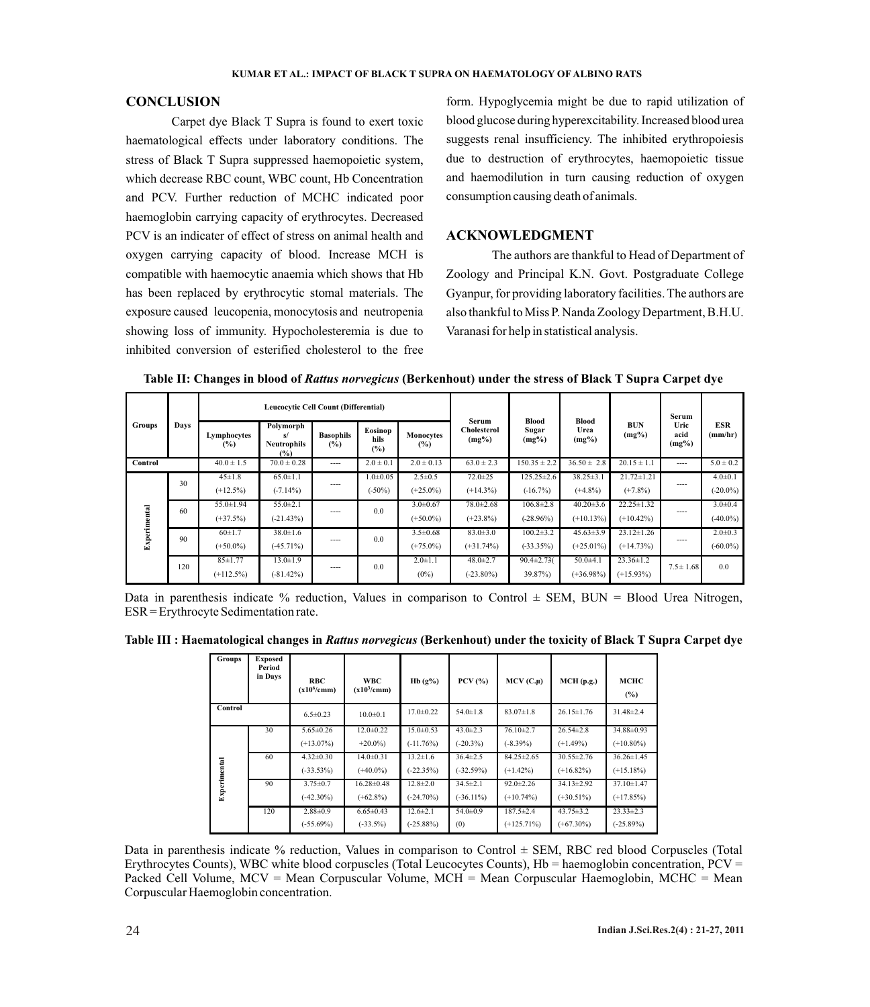## **CONCLUSION**

Carpet dye Black T Supra is found to exert toxic haematological effects under laboratory conditions. The stress of Black T Supra suppressed haemopoietic system, which decrease RBC count, WBC count, Hb Concentration and PCV. Further reduction of MCHC indicated poor haemoglobin carrying capacity of erythrocytes. Decreased PCV is an indicater of effect of stress on animal health and oxygen carrying capacity of blood. Increase MCH is compatible with haemocytic anaemia which shows that Hb has been replaced by erythrocytic stomal materials. The exposure caused leucopenia, monocytosis and neutropenia showing loss of immunity. Hypocholesteremia is due to inhibited conversion of esterified cholesterol to the free form. Hypoglycemia might be due to rapid utilization of blood glucose during hyperexcitability. Increased blood urea suggests renal insufficiency. The inhibited erythropoiesis due to destruction of erythrocytes, haemopoietic tissue and haemodilution in turn causing reduction of oxygen consumption causing death of animals.

## **ACKNOWLEDGMENT**

The authors are thankful to Head of Department of Zoology and Principal K.N. Govt. Postgraduate College Gyanpur, for providing laboratory facilities. The authors are also thankful to Miss P. Nanda Zoology Department, B.H.U. Varanasi for help in statistical analysis.

| Groups              | Days | Leucocytic Cell Count (Differential) |                                              |                         |                           | Serum                         |                                |                                   |                                 | Serum                            |                          |                              |
|---------------------|------|--------------------------------------|----------------------------------------------|-------------------------|---------------------------|-------------------------------|--------------------------------|-----------------------------------|---------------------------------|----------------------------------|--------------------------|------------------------------|
|                     |      | Lymphocytes<br>$\frac{9}{6}$         | Polymorph<br>s/<br><b>Neutrophils</b><br>(%) | <b>Basophils</b><br>(%) | Eosinop<br>hils<br>(%)    | Monocytes<br>(%)              | <b>Cholesterol</b><br>$(mg\%)$ | <b>Blood</b><br>Sugar<br>$(mg\%)$ | Blood<br>Urea<br>$(mg\%)$       | <b>BUN</b><br>$(mg\%)$           | Uric<br>acid<br>$(mg\%)$ | <b>ESR</b><br>(mm/hr)        |
| Control             |      | $40.0 \pm 1.5$                       | $70.0 \pm 0.28$                              | ----                    | $2.0 \pm 0.1$             | $2.0 \pm 0.13$                | $63.0 \pm 2.3$                 | $150.35 \pm 2.2$                  | $36.50 \pm 2.8$                 | $20.15 \pm 1.1$                  | ----                     | $5.0 \pm 0.2$                |
| <b>Experimental</b> | 30   | $45 \pm 1.8$<br>$(+12.5\%)$          | $65.0 \pm 1.1$<br>$(-7.14\%)$                | ----                    | $1.0 + 0.05$<br>$(-50\%)$ | $2.5 \pm 0.5$<br>$(+25.0\%)$  | $72.0 \pm 25$<br>$(+14.3\%)$   | $125.25 \pm 2.6$<br>$(-16.7%)$    | $38.25 \pm 3.1$<br>$(+4.8\%)$   | $21.72 \pm 1.21$<br>$(+7.8\%)$   | ----                     | $4.0 \pm 0.1$<br>$(-20.0\%)$ |
|                     | 60   | $55.0 \pm 1.94$<br>$(+37.5%)$        | $55.0 \pm 2.1$<br>$(-21.43%)$                | ----                    | 0.0                       | $3.0 \pm 0.67$<br>$(+50.0\%)$ | $78.0 \pm 2.68$<br>$(+23.8\%)$ | $106.8 \pm 2.8$<br>$(-28.96%)$    | $40.20 \pm 3.6$<br>$(+10.13\%)$ | $22.25 \pm 1.32$<br>$(+10.42\%)$ | ----                     | $3.0 \pm 0.4$<br>$(40.0\%)$  |
|                     | 90   | $60+1.7$<br>$(+50.0\%)$              | $38.0 \pm 1.6$<br>$(-45.71\%)$               | ----                    | 0.0                       | $3.5 \pm 0.68$<br>$(+75.0\%)$ | $83.0 \pm 3.0$<br>$(+31.74\%)$ | $100.2 \pm 3.2$<br>$(-33.35%)$    | $45.63 \pm 3.9$<br>$(+25.01\%)$ | $23.12 \pm 1.26$<br>$(+14.73%)$  | ----                     | $2.0 \pm 0.3$<br>$(-60.0\%)$ |
|                     | 120  | $85 \pm 1.77$<br>$(+112.5\%)$        | $13.0 \pm 1.9$<br>$(-81.42\%)$               | ----                    | 0.0                       | $2.0 \pm 1.1$<br>$(0\%)$      | $48.0 \pm 2.7$<br>$(-23.80\%)$ | $90.4 \pm 2.73$<br>$39.87\%$      | $50.0 + 4.1$<br>$(+36.98\%)$    | $23.36 \pm 1.2$<br>$(+15.93\%)$  | $7.5 \pm 1.68$           | 0.0                          |

**Table II: Changes in blood of** *Rattus norvegicus* **(Berkenhout) under the stress of Black T Supra Carpet dye** 

Data in parenthesis indicate % reduction, Values in comparison to Control  $\pm$  SEM, BUN = Blood Urea Nitrogen, ESR = Erythrocyte Sedimentation rate.

**Table III : Haematological changes in** *Rattus norvegicus* **(Berkenhout) under the toxicity of Black T Supra Carpet dye**

| <b>Groups</b> | <b>Exposed</b><br>Period<br>in Days | <b>RBC</b><br>$(x10^6/cmm)$ | <b>WBC</b><br>$(x10^3/cmm)$ | $Hb(g\%)$       | $PCV$ $(\frac{9}{6})$ | $MCV(C.\mu)$     | MCH(p.g.)        | мснс<br>(%)      |
|---------------|-------------------------------------|-----------------------------|-----------------------------|-----------------|-----------------------|------------------|------------------|------------------|
| Control       |                                     | $6.5 \pm 0.23$              | $10.0 \pm 0.1$              | $17.0 \pm 0.22$ | $54.0 \pm 1.8$        | $83.07 \pm 1.8$  | $26.15 \pm 1.76$ | $31.48 \pm 2.4$  |
|               | 30                                  | $5.65 \pm 0.26$             | $12.0 \pm 0.22$             | $15.0 \pm 0.53$ | $43.0 \pm 2.3$        | $76.10 \pm 2.7$  | $26.54 \pm 2.8$  | 34.88±0.93       |
| Experimental  |                                     | $(+13.07\%)$                | $+20.0\%$                   | $(-11.76%)$     | $(-20.3\%)$           | $(-8.39\%)$      | $(+1.49\%)$      | $(+10.80\%)$     |
|               | 60                                  | $4.32 \pm 0.30$             | $14.0 \pm 0.31$             | $13.2 \pm 1.6$  | $36.4 \pm 2.5$        | $84.25 \pm 2.65$ | $30.55 \pm 2.76$ | $36.26 \pm 1.45$ |
|               |                                     | $(-33.53%)$                 | $(+40.0\%)$                 | $(-22.35%)$     | $(-32.59%)$           | $(+1.42\%)$      | $(+16.82\%)$     | $(+15.18\%)$     |
|               | 90                                  | $3.75 \pm 0.7$              | $16.28 \pm 0.48$            | $12.8 \pm 2.0$  | $34.5 \pm 2.1$        | $92.0 \pm 2.26$  | 34.13±2.92       | $37.10 \pm 1.47$ |
|               |                                     | $(-42.30\%)$                | $(+62.8\%)$                 | $(-24.70\%)$    | $(-36.11\%)$          | $(+10.74\%)$     | $(+30.51\%)$     | $(+17.85%)$      |
|               | 120                                 | $2.88 \pm 0.9$              | $6.65 \pm 0.43$             | $12.6 \pm 2.1$  | $54.0 \pm 0.9$        | $187.5 \pm 2.4$  | $43.75 \pm 3.2$  | $23.33 \pm 2.3$  |
|               |                                     | $(-55.69\%)$                | $(-33.5\%)$                 | $(-25.88\%)$    | (0)                   | $(+125.71\%)$    | $(+67.30\%)$     | $(-25.89%)$      |

Data in parenthesis indicate % reduction, Values in comparison to Control  $\pm$  SEM, RBC red blood Corpuscles (Total Erythrocytes Counts), WBC white blood corpuscles (Total Leucocytes Counts),  $Hb =$  haemoglobin concentration,  $PCV =$ Packed Cell Volume, MCV = Mean Corpuscular Volume, MCH = Mean Corpuscular Haemoglobin, MCHC = Mean Corpuscular Haemoglobin concentration.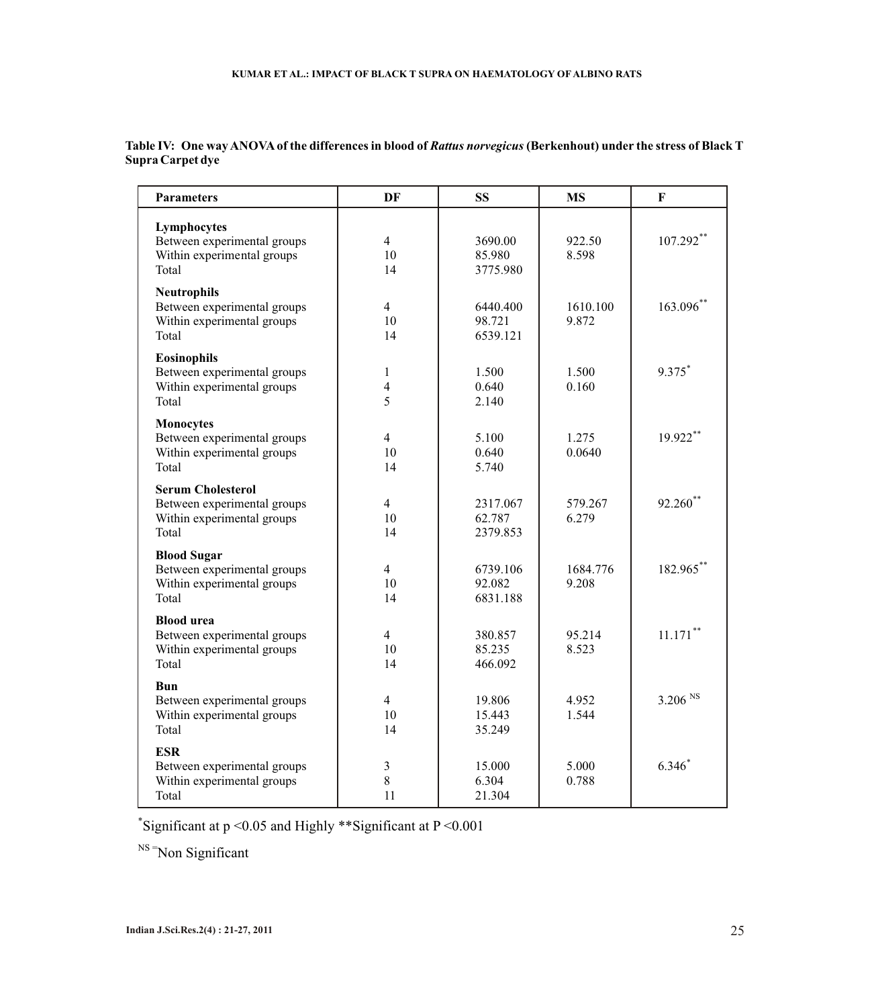| <b>Parameters</b>                                                                              | DF<br><b>SS</b>                              |                                | <b>MS</b>         | $\mathbf F$         |  |
|------------------------------------------------------------------------------------------------|----------------------------------------------|--------------------------------|-------------------|---------------------|--|
| Lymphocytes<br>Between experimental groups<br>Within experimental groups<br>Total              | $\overline{4}$<br>10<br>14                   | 3690.00<br>85.980<br>3775.980  | 922.50<br>8.598   | 107.292**           |  |
| <b>Neutrophils</b><br>Between experimental groups<br>Within experimental groups<br>Total       | $\overline{4}$<br>10<br>14                   | 6440.400<br>98.721<br>6539.121 | 1610.100<br>9.872 | 163.096*            |  |
| <b>Eosinophils</b><br>Between experimental groups<br>Within experimental groups<br>Total       | $\mathbf{1}$<br>$\overline{\mathbf{4}}$<br>5 | 1.500<br>0.640<br>2.140        | 1.500<br>0.160    | 9.375*              |  |
| <b>Monocytes</b><br>Between experimental groups<br>Within experimental groups<br>Total         | $\overline{4}$<br>10<br>14                   | 5.100<br>0.640<br>5.740        | 1.275<br>0.0640   | 19.922**            |  |
| <b>Serum Cholesterol</b><br>Between experimental groups<br>Within experimental groups<br>Total | $\overline{4}$<br>10<br>14                   | 2317.067<br>62.787<br>2379.853 | 579.267<br>6.279  | 92.260**            |  |
| <b>Blood Sugar</b><br>Between experimental groups<br>Within experimental groups<br>Total       | $\overline{4}$<br>10<br>14                   | 6739.106<br>92.082<br>6831.188 | 1684.776<br>9.208 | 182.965*            |  |
| <b>Blood urea</b><br>Between experimental groups<br>Within experimental groups<br>Total        | $\overline{4}$<br>10<br>14                   | 380.857<br>85.235<br>466.092   | 95.214<br>8.523   | $11.171$ **         |  |
| Bun<br>Between experimental groups<br>Within experimental groups<br>Total                      | $\overline{4}$<br>10<br>14                   | 19.806<br>15.443<br>35.249     | 4.952<br>1.544    | 3.206 <sup>NS</sup> |  |
| <b>ESR</b><br>Between experimental groups<br>Within experimental groups<br>Total               | $\mathfrak{Z}$<br>8<br>11                    | 15.000<br>6.304<br>21.304      | 5.000<br>0.788    | $6.346*$            |  |

**Table IV: One way ANOVAof the differences in blood of** *Rattus norvegicus* **(Berkenhout) under the stress of Black T Supra Carpet dye**

\* Significant at p <0.05 and Highly \*\*Significant at P <0.001

<sup>NS =</sup>Non Significant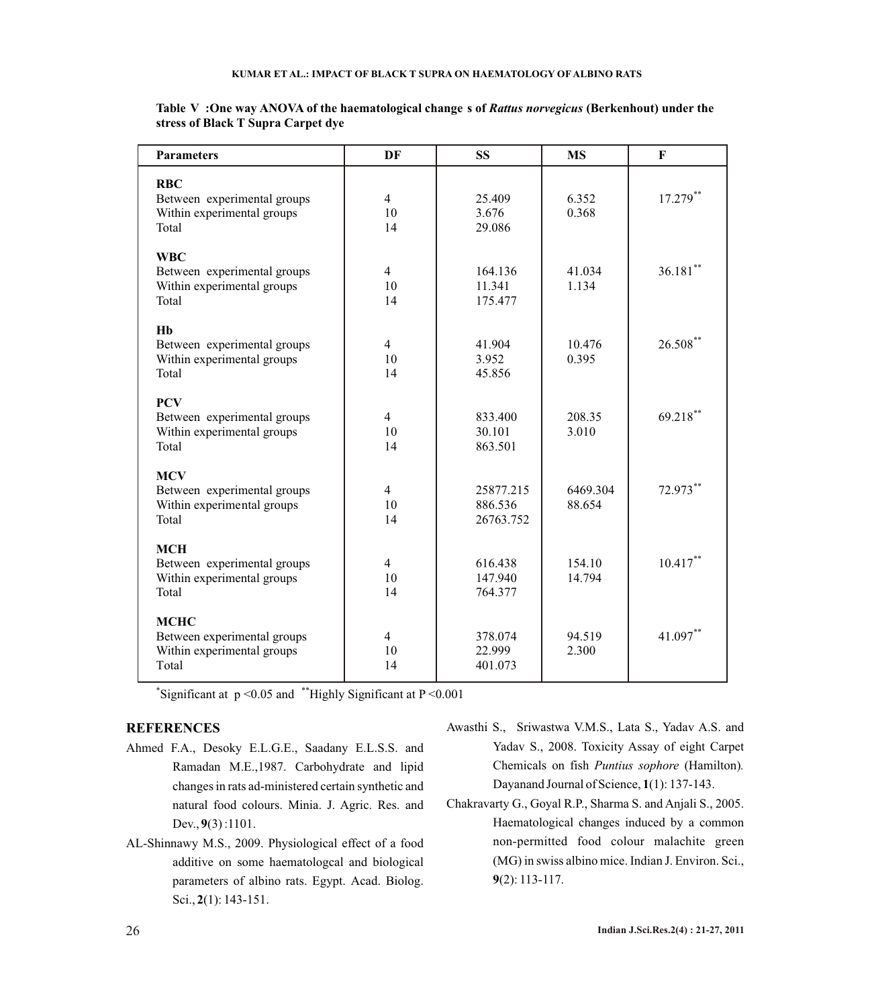| <b>Parameters</b>                                         | DF             | <b>SS</b>         | <b>MS</b> | F           |  |
|-----------------------------------------------------------|----------------|-------------------|-----------|-------------|--|
| <b>RBC</b>                                                |                |                   |           |             |  |
| Between experimental groups                               | 4              | 25.409            | 6.352     | 17.279**    |  |
| Within experimental groups                                | 10             | 3.676             | 0.368     |             |  |
| Total                                                     | 14             | 29.086            |           |             |  |
|                                                           |                |                   |           |             |  |
| <b>WBC</b>                                                |                |                   |           |             |  |
| Between experimental groups                               | $\overline{4}$ | 164.136           | 41.034    | $36.181$ ** |  |
| Within experimental groups                                | 10             | 11.341            | 1.134     |             |  |
| Total                                                     | 14             | 175.477           |           |             |  |
|                                                           |                |                   |           |             |  |
| H <sub>b</sub>                                            |                |                   |           |             |  |
| Between experimental groups                               | 4              | 41.904            | 10.476    | $26.508$ ** |  |
| Within experimental groups                                | 10             | 3.952             | 0.395     |             |  |
| Total                                                     | 14             | 45.856            |           |             |  |
|                                                           |                |                   |           |             |  |
| <b>PCV</b>                                                | $\overline{4}$ |                   | 208.35    | $69.218$ ** |  |
| Between experimental groups<br>Within experimental groups | 10             | 833.400<br>30.101 | 3.010     |             |  |
| Total                                                     | 14             | 863.501           |           |             |  |
|                                                           |                |                   |           |             |  |
| <b>MCV</b>                                                |                |                   |           |             |  |
| Between experimental groups                               | 4              | 25877.215         | 6469.304  | 72.973**    |  |
| Within experimental groups                                | 10             | 886.536           | 88.654    |             |  |
| Total                                                     | 14             | 26763.752         |           |             |  |
|                                                           |                |                   |           |             |  |
| <b>MCH</b>                                                |                |                   |           |             |  |
| Between experimental groups                               | $\overline{4}$ | 616.438           | 154.10    | $10.417**$  |  |
| Within experimental groups                                | 10             | 147.940           | 14.794    |             |  |
| Total                                                     | 14             | 764.377           |           |             |  |
|                                                           |                |                   |           |             |  |
| <b>MCHC</b>                                               |                |                   |           | 41.097**    |  |
| Between experimental groups                               | $\overline{4}$ | 378.074           | 94.519    |             |  |
| Within experimental groups<br>Total                       | 10<br>14       | 22.999<br>401.073 | 2.300     |             |  |
|                                                           |                |                   |           |             |  |

**Table V :One way ANOVA of the haematological change s of** *Rattus norvegicus* **(Berkenhout) under the stress of Black T Supra Carpet dye**

\* Significant at p <0.05 and \*\*Highly Significant at P <0.001

# **REFERENCES**

- Ahmed F.A., Desoky E.L.G.E., Saadany E.L.S.S. and Ramadan M.E.,1987. Carbohydrate and lipid changes in rats ad-ministered certain synthetic and natural food colours. Minia. J. Agric. Res. and Dev., **9**(3) :1101.
- AL-Shinnawy M.S., 2009. Physiological effect of a food additive on some haematologcal and biological parameters of albino rats. Egypt. Acad. Biolog. Sci., **2**(1): 143-151.
- Awasthi S., Sriwastwa V.M.S., Lata S., Yadav A.S. and Yadav S., 2008. Toxicity Assay of eight Carpet Chemicals on fish *Puntius sophore* (Hamilton)*.*  Dayanand Journal of Science, **1**(1): 137-143.
- Chakravarty G., Goyal R.P., Sharma S. and Anjali S., 2005. Haematological changes induced by a common non-permitted food colour malachite green (MG) in swiss albino mice. Indian J. Environ. Sci., **9**(2): 113-117.